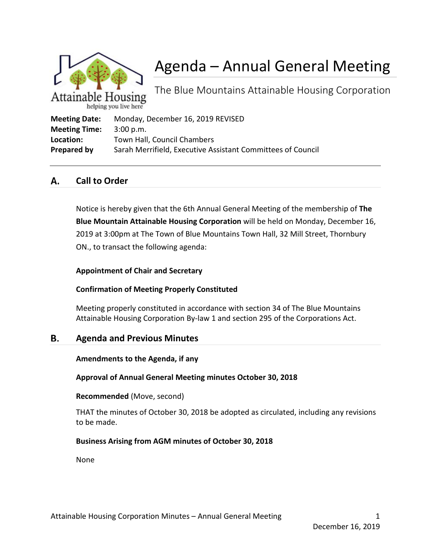

# Agenda – Annual General Meeting

The Blue Mountains Attainable Housing Corporation

| <b>Meeting Date:</b> | Monday, December 16, 2019 REVISED                           |
|----------------------|-------------------------------------------------------------|
| <b>Meeting Time:</b> | 3:00 p.m.                                                   |
| Location:            | Town Hall, Council Chambers                                 |
| Prepared by          | Sarah Merrifield, Executive Assistant Committees of Council |

#### А. **Call to Order**

Notice is hereby given that the 6th Annual General Meeting of the membership of **The Blue Mountain Attainable Housing Corporation** will be held on Monday, December 16, 2019 at 3:00pm at The Town of Blue Mountains Town Hall, 32 Mill Street, Thornbury ON., to transact the following agenda:

## **Appointment of Chair and Secretary**

# **Confirmation of Meeting Properly Constituted**

Meeting properly constituted in accordance with section 34 of The Blue Mountains Attainable Housing Corporation By-law 1 and section 295 of the Corporations Act.

#### В. **Agenda and Previous Minutes**

### **Amendments to the Agenda, if any**

# **Approval of Annual General Meeting minutes October 30, 2018**

### **Recommended** (Move, second)

THAT the minutes of October 30, 2018 be adopted as circulated, including any revisions to be made.

# **Business Arising from AGM minutes of October 30, 2018**

None